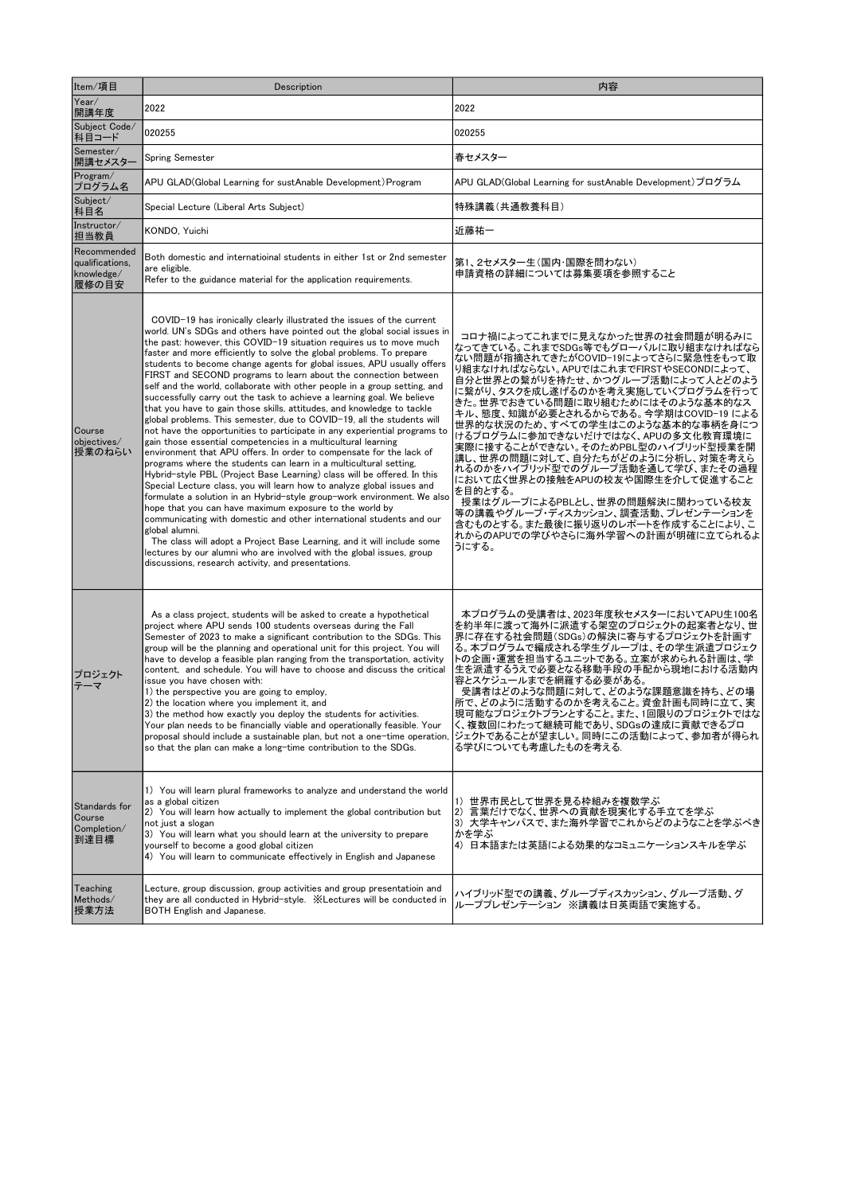| Item/項目                                               | Description                                                                                                                                                                                                                                                                                                                                                                                                                                                                                                                                                                                                                                                                                                                                                                                                                                                                                                                                                                                                                                                                                                                                                                                                                                                                                                                                                                                                                                                                                                                                                                                                                                      | 内容                                                                                                                                                                                                                                                                                                                                                                                                                                                                                                                                                                                                                                                                                                                       |
|-------------------------------------------------------|--------------------------------------------------------------------------------------------------------------------------------------------------------------------------------------------------------------------------------------------------------------------------------------------------------------------------------------------------------------------------------------------------------------------------------------------------------------------------------------------------------------------------------------------------------------------------------------------------------------------------------------------------------------------------------------------------------------------------------------------------------------------------------------------------------------------------------------------------------------------------------------------------------------------------------------------------------------------------------------------------------------------------------------------------------------------------------------------------------------------------------------------------------------------------------------------------------------------------------------------------------------------------------------------------------------------------------------------------------------------------------------------------------------------------------------------------------------------------------------------------------------------------------------------------------------------------------------------------------------------------------------------------|--------------------------------------------------------------------------------------------------------------------------------------------------------------------------------------------------------------------------------------------------------------------------------------------------------------------------------------------------------------------------------------------------------------------------------------------------------------------------------------------------------------------------------------------------------------------------------------------------------------------------------------------------------------------------------------------------------------------------|
| Year/<br>開講年度                                         | 2022                                                                                                                                                                                                                                                                                                                                                                                                                                                                                                                                                                                                                                                                                                                                                                                                                                                                                                                                                                                                                                                                                                                                                                                                                                                                                                                                                                                                                                                                                                                                                                                                                                             | 2022                                                                                                                                                                                                                                                                                                                                                                                                                                                                                                                                                                                                                                                                                                                     |
| Subject Code/<br>科目コード                                | 020255                                                                                                                                                                                                                                                                                                                                                                                                                                                                                                                                                                                                                                                                                                                                                                                                                                                                                                                                                                                                                                                                                                                                                                                                                                                                                                                                                                                                                                                                                                                                                                                                                                           | 020255                                                                                                                                                                                                                                                                                                                                                                                                                                                                                                                                                                                                                                                                                                                   |
| Semester/<br>開講セメスター                                  | <b>Spring Semester</b>                                                                                                                                                                                                                                                                                                                                                                                                                                                                                                                                                                                                                                                                                                                                                                                                                                                                                                                                                                                                                                                                                                                                                                                                                                                                                                                                                                                                                                                                                                                                                                                                                           | 春セメスター                                                                                                                                                                                                                                                                                                                                                                                                                                                                                                                                                                                                                                                                                                                   |
| Program/<br>プログラム名                                    | APU GLAD(Global Learning for sustAnable Development) Program                                                                                                                                                                                                                                                                                                                                                                                                                                                                                                                                                                                                                                                                                                                                                                                                                                                                                                                                                                                                                                                                                                                                                                                                                                                                                                                                                                                                                                                                                                                                                                                     | APU GLAD(Global Learning for sustAnable Development) ブログラム                                                                                                                                                                                                                                                                                                                                                                                                                                                                                                                                                                                                                                                               |
| Subject/<br>科目名                                       | Special Lecture (Liberal Arts Subject)                                                                                                                                                                                                                                                                                                                                                                                                                                                                                                                                                                                                                                                                                                                                                                                                                                                                                                                                                                                                                                                                                                                                                                                                                                                                                                                                                                                                                                                                                                                                                                                                           | 特殊講義(共通教養科目)                                                                                                                                                                                                                                                                                                                                                                                                                                                                                                                                                                                                                                                                                                             |
| Instructor/<br>担当教員                                   | KONDO, Yuichi                                                                                                                                                                                                                                                                                                                                                                                                                                                                                                                                                                                                                                                                                                                                                                                                                                                                                                                                                                                                                                                                                                                                                                                                                                                                                                                                                                                                                                                                                                                                                                                                                                    | 近藤祐一                                                                                                                                                                                                                                                                                                                                                                                                                                                                                                                                                                                                                                                                                                                     |
| Recommended<br>qualifications.<br>knowledge/<br>履修の目安 | Both domestic and internatioinal students in either 1st or 2nd semester<br>are eligible.<br>Refer to the guidance material for the application requirements.                                                                                                                                                                                                                                                                                                                                                                                                                                                                                                                                                                                                                                                                                                                                                                                                                                                                                                                                                                                                                                                                                                                                                                                                                                                                                                                                                                                                                                                                                     | 第1、2セメスター生(国内・国際を問わない)<br>申請資格の詳細については募集要項を参照すること                                                                                                                                                                                                                                                                                                                                                                                                                                                                                                                                                                                                                                                                        |
| Course<br>objectives/<br>授業のねらい                       | COVID-19 has ironically clearly illustrated the issues of the current<br>world. UN's SDGs and others have pointed out the global social issues in<br>the past: however, this COVID-19 situation requires us to move much<br>faster and more efficiently to solve the global problems. To prepare<br>students to become change agents for global issues, APU usually offers<br>FIRST and SECOND programs to learn about the connection between<br>self and the world, collaborate with other people in a group setting, and<br>successfully carry out the task to achieve a learning goal. We believe<br>that you have to gain those skills, attitudes, and knowledge to tackle<br>global problems. This semester, due to COVID-19, all the students will<br>not have the opportunities to participate in any experiential programs to<br>gain those essential competencies in a multicultural learning<br>environment that APU offers. In order to compensate for the lack of<br>programs where the students can learn in a multicultural setting,<br>Hybrid-style PBL (Project Base Learning) class will be offered. In this<br>Special Lecture class, you will learn how to analyze global issues and<br>formulate a solution in an Hybrid-style group-work environment. We also<br>hope that you can have maximum exposure to the world by<br>communicating with domestic and other international students and our<br>global alumni.<br>The class will adopt a Project Base Learning, and it will include some<br>lectures by our alumni who are involved with the global issues, group<br>discussions, research activity, and presentations. | コロナ禍によってこれまでに見えなかった世界の社会問題が明るみに<br>なってきている。これまでSDGs等でもグローバルに取り組まなければなら<br>ない問題が指摘されてきたがCOVID-19によってさらに緊急性をもって取<br>り組まなければならない。APUではこれまでFIRSTやSECONDによって、<br>自分と世界との繋がりを持たせ、かつグループ活動によって人とどのよう<br>に繋がり、タスクを成し遂げるのかを考え実施していくプログラムを行って<br>きた。世界でおきている問題に取り組むためにはそのような基本的なス<br>キル、態度、知識が必要とされるからである。今学期はCOVID-19 による<br>世界的な状況のため、すべての学生はこのような基本的な事柄を身につ<br>けるプログラムに参加できないだけではなく、APUの多文化教育環境に<br>実際に接することができない。そのためPBL型のハイブリッド型授業を開<br>講し、世界の問題に対して、自分たちがどのように分析し、対策を考えら<br> れるのかをハイブリッド型でのグループ活動を通して学び、またその過程<br>において広く世界との接触をAPUの校友や国際生を介して促進すること<br>を目的とする。<br>授業はグループによるPBLとし、世界の問題解決に関わっている校友<br>等の講義やグループ・ディスカッション、調査活動、プレゼンテーションを<br>含むものとする。また最後に振り返りのレポートを作成することにより、こ<br>れからのAPUでの学びやさらに海外学習への計画が明確に立てられるよ<br>うにする。 |
| ブロジェクト<br>-マ                                          | As a class project, students will be asked to create a hypothetical<br>project where APU sends 100 students overseas during the Fall<br>Semester of 2023 to make a significant contribution to the SDGs. This<br>group will be the planning and operational unit for this project. You will<br>have to develop a feasible plan ranging from the transportation, activity<br>content, and schedule. You will have to choose and discuss the critical<br>issue you have chosen with:<br>1) the perspective you are going to employ,<br>2) the location where you implement it, and<br>3) the method how exactly you deploy the students for activities.<br>Your plan needs to be financially viable and operationally feasible. Your<br>proposal should include a sustainable plan, but not a one-time operation.<br>so that the plan can make a long–time contribution to the SDGs.                                                                                                                                                                                                                                                                                                                                                                                                                                                                                                                                                                                                                                                                                                                                                               | 本プログラムの受講者は、2023年度秋セメスターにおいてAPU生100名<br>を約半年に渡って海外に派遣する架空のプロジェクトの起案者となり、世<br> 界に存在する社会問題(SDGs)の解決に寄与するプロジェクトを計画す<br>る。本プログラムで編成される学生グループは、その学生派遣プロジェク<br>トの企画・運営を担当するユニットである。立案が求められる計画は、学<br>生を派遣するうえで必要となる移動手段の手配から現地における活動内<br>容とスケジュールまでを網羅する必要がある。<br>受講者はどのような問題に対して、どのような課題意識を持ち、どの場<br>所で、どのように活動するのかを考えること。資金計画も同時に立て、実<br>現可能なプロジェクトプランとすること。また、1回限りのプロジェクトではな<br>く、複数回にわたって継続可能であり、SDGsの達成に貢献できるブロ<br> ジェクトであることが望ましい。同時にこの活動によって、参加者が得られ<br>る学びについても考慮したものを考える.                                                                                                                                                                                                                                              |
| Standards for<br>Course<br>Completion/<br>到達目標        | 1) You will learn plural frameworks to analyze and understand the world<br>as a global citizen<br>2) You will learn how actually to implement the global contribution but<br>not just a slogan<br>3) You will learn what you should learn at the university to prepare<br>yourself to become a good global citizen<br>4) You will learn to communicate effectively in English and Japanese                                                                                                                                                                                                                                                                                                                                                                                                                                                                                                                                                                                                                                                                                                                                                                                                                                                                                                                                                                                                                                                                                                                                                                                                                                                       | 1) 世界市民として世界を見る枠組みを複数学ぶ<br> 2) 言葉だけでなく、世界への貢献を現実化する手立てを学ぶ<br> 3) 大学キャンパスで、また海外学習でこれからどのようなことを学ぶべき<br> かを学ぶ<br> 4) 日本語または英語による効果的なコミュニケーションスキルを学ぶ                                                                                                                                                                                                                                                                                                                                                                                                                                                                                                                                                                         |
| Teaching<br>Methods/<br>授業方法                          | Lecture, group discussion, group activities and group presentatioin and<br>they are all conducted in Hybrid-style.  XLectures will be conducted in<br><b>BOTH English and Japanese.</b>                                                                                                                                                                                                                                                                                                                                                                                                                                                                                                                                                                                                                                                                                                                                                                                                                                                                                                                                                                                                                                                                                                                                                                                                                                                                                                                                                                                                                                                          | ハイブリッド型での講義、グループディスカッション、グループ活動、グ<br>ループプレゼンテーション ※講義は日英両語で実施する。                                                                                                                                                                                                                                                                                                                                                                                                                                                                                                                                                                                                                                                         |